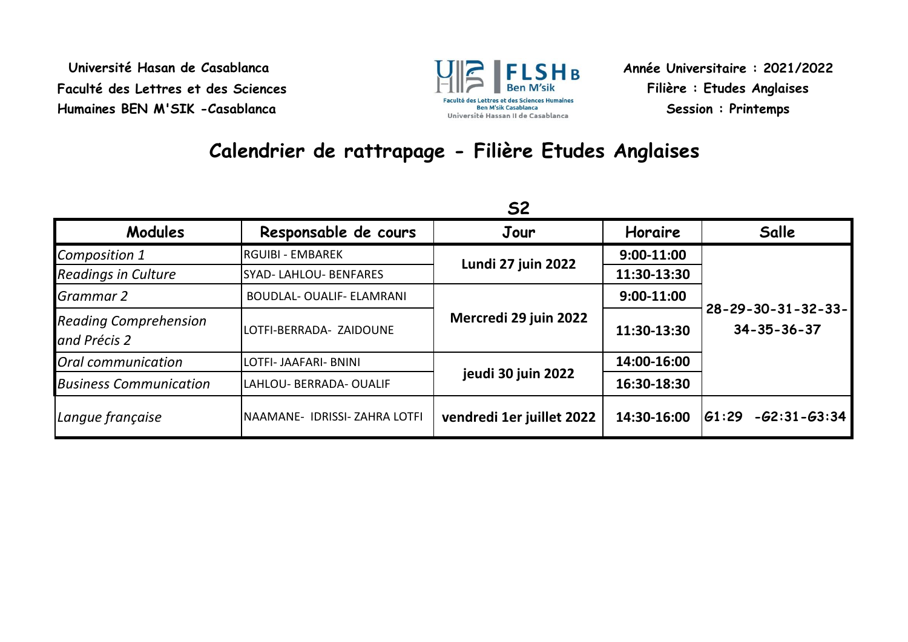**Université Hasan de Casablanca Faculté des Lettres et des Sciences Humaines BEN M'SIK -Casablanca**



**Année Universitaire : 2021/2022 Filière : Etudes Anglaises Session : Printemps**

## **Calendrier de rattrapage - Filière Etudes Anglaises**

|                                              | <b>S2</b>                        |                           |              |                                                        |
|----------------------------------------------|----------------------------------|---------------------------|--------------|--------------------------------------------------------|
| Modules                                      | Responsable de cours             | Jour                      | Horaire      | Salle                                                  |
| Composition 1                                | <b>RGUIBI - EMBAREK</b>          | Lundi 27 juin 2022        | 9:00-11:00   | $28 - 29 - 30 - 31 - 32 - 33 -$<br>$34 - 35 - 36 - 37$ |
| <b>Readings in Culture</b>                   | <b>SYAD-LAHLOU-BENFARES</b>      |                           | 11:30-13:30  |                                                        |
| Grammar 2                                    | <b>BOUDLAL- OUALIF- ELAMRANI</b> | Mercredi 29 juin 2022     | $9:00-11:00$ |                                                        |
| <b>Reading Comprehension</b><br>and Précis 2 | LOTFI-BERRADA- ZAIDOUNE          |                           | 11:30-13:30  |                                                        |
| Oral communication                           | LOTFI- JAAFARI- BNINI            | jeudi 30 juin 2022        | 14:00-16:00  |                                                        |
| <b>Business Communication</b>                | LAHLOU- BERRADA- OUALIF          |                           | 16:30-18:30  |                                                        |
| Langue française                             | NAAMANE- IDRISSI- ZAHRA LOTFI    | vendredi 1er juillet 2022 | 14:30-16:00  | $-62:31 - 63:34$<br> G1:29                             |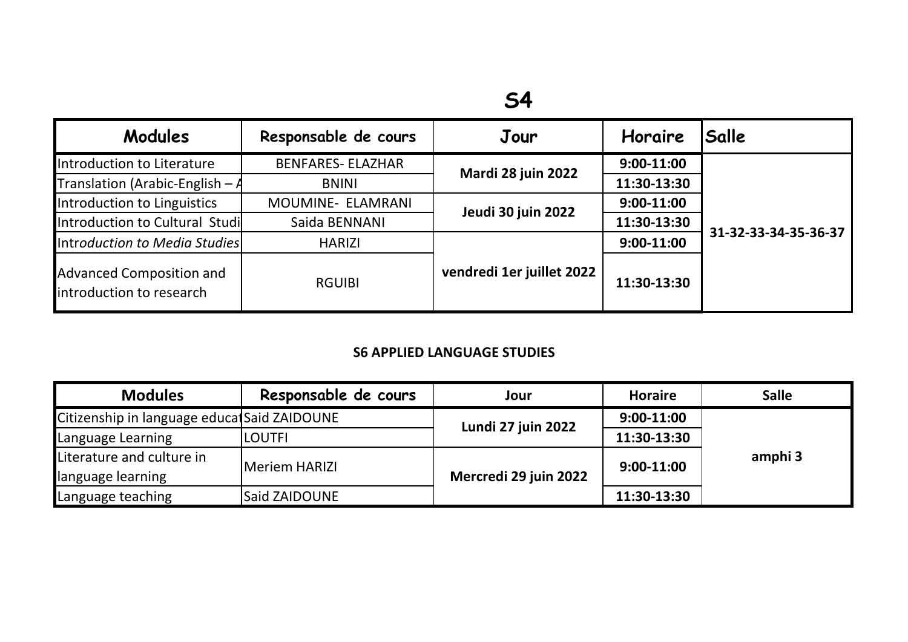| Modules                                              | Responsable de cours     | Jour                      | Horaire      | Salle                |
|------------------------------------------------------|--------------------------|---------------------------|--------------|----------------------|
| Introduction to Literature                           | <b>BENFARES- ELAZHAR</b> | Mardi 28 juin 2022        | $9:00-11:00$ | 31-32-33-34-35-36-37 |
| <b>Translation (Arabic-English - A</b>               | <b>BNINI</b>             |                           | 11:30-13:30  |                      |
| Introduction to Linguistics                          | MOUMINE- ELAMRANI        | Jeudi 30 juin 2022        | $9:00-11:00$ |                      |
| Introduction to Cultural Studi                       | Saida BENNANI            |                           | 11:30-13:30  |                      |
| Introduction to Media Studies                        | <b>HARIZI</b>            | vendredi 1er juillet 2022 | $9:00-11:00$ |                      |
| Advanced Composition and<br>introduction to research | <b>RGUIBI</b>            |                           | 11:30-13:30  |                      |

## **S6 APPLIED LANGUAGE STUDIES**

| <b>Modules</b>                              | Responsable de cours | Jour                  | <b>Horaire</b> | <b>Salle</b> |
|---------------------------------------------|----------------------|-----------------------|----------------|--------------|
| Citizenship in language educatSaid ZAIDOUNE |                      | Lundi 27 juin 2022    | 9:00-11:00     | amphi 3      |
| Language Learning                           | <b>LOUTFI</b>        |                       | 11:30-13:30    |              |
| Literature and culture in                   | Meriem HARIZI        | Mercredi 29 juin 2022 | $9:00-11:00$   |              |
| language learning                           |                      |                       |                |              |
| Language teaching                           | <b>Said ZAIDOUNE</b> |                       | 11:30-13:30    |              |